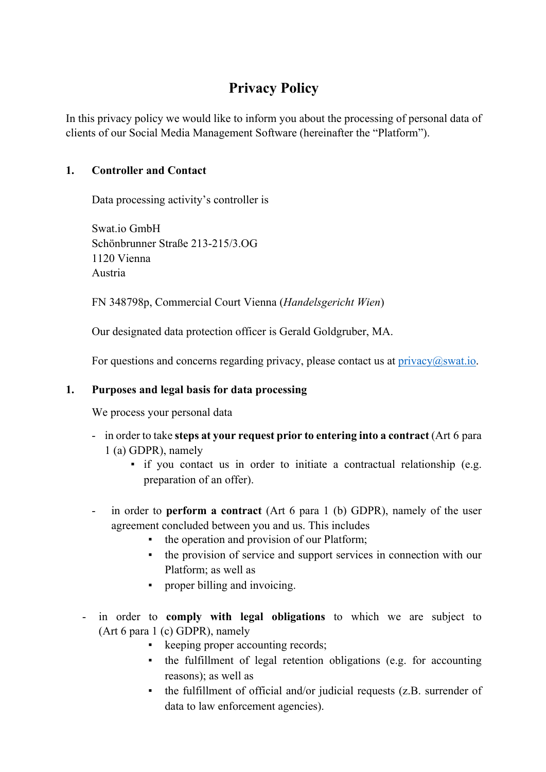# **Privacy Policy**

In this privacy policy we would like to inform you about the processing of personal data of clients of our Social Media Management Software (hereinafter the "Platform").

## **1. Controller and Contact**

Data processing activity's controller is

Swat.io GmbH Schönbrunner Straße 213-215/3.OG 1120 Vienna Austria

FN 348798p, Commercial Court Vienna (*Handelsgericht Wien*)

Our designated data protection officer is Gerald Goldgruber, MA.

For questions and concerns regarding privacy, please contact us at  $\text{privacy}(a\text{swat.io.})$ 

## **1. Purposes and legal basis for data processing**

We process your personal data

- in order to take **steps at your request prior to entering into a contract** (Art 6 para 1 (a) GDPR), namely
	- if you contact us in order to initiate a contractual relationship (e.g. preparation of an offer).
- in order to **perform a contract** (Art 6 para 1 (b) GDPR), namely of the user agreement concluded between you and us. This includes
	- the operation and provision of our Platform;
	- the provision of service and support services in connection with our Platform; as well as
	- proper billing and invoicing.
- in order to **comply with legal obligations** to which we are subject to (Art 6 para 1 (c) GDPR), namely
	- keeping proper accounting records;
	- the fulfillment of legal retention obligations (e.g. for accounting reasons); as well as
	- the fulfillment of official and/or judicial requests (z.B. surrender of data to law enforcement agencies).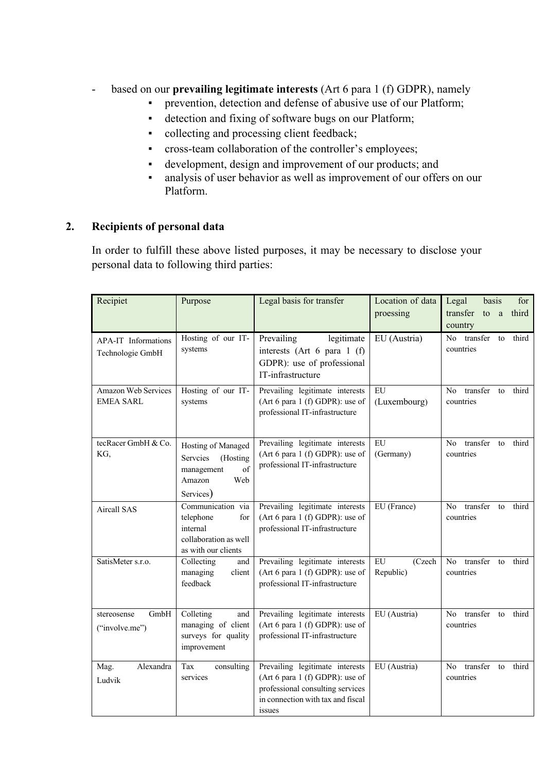- based on our **prevailing legitimate interests** (Art 6 para 1 (f) GDPR), namely
	- **•** prevention, detection and defense of abusive use of our Platform;
	- detection and fixing of software bugs on our Platform;
	- collecting and processing client feedback;
	- cross-team collaboration of the controller's employees;
	- development, design and improvement of our products; and
	- analysis of user behavior as well as improvement of our offers on our Platform.

## **2. Recipients of personal data**

In order to fulfill these above listed purposes, it may be necessary to disclose your personal data to following third parties:

| Recipiet                                | Purpose                                                                                           | Legal basis for transfer                                                                                                                              | Location of data                  | for<br>Legal<br>basis                                  |
|-----------------------------------------|---------------------------------------------------------------------------------------------------|-------------------------------------------------------------------------------------------------------------------------------------------------------|-----------------------------------|--------------------------------------------------------|
|                                         |                                                                                                   |                                                                                                                                                       | proessing                         | transfer<br>third<br>to<br>a<br>country                |
| APA-IT Informations<br>Technologie GmbH | Hosting of our IT-<br>systems                                                                     | Prevailing<br>legitimate<br>interests (Art 6 para 1 (f)<br>GDPR): use of professional<br>IT-infrastructure                                            | EU (Austria)                      | No transfer<br>third<br>to<br>countries                |
| Amazon Web Services<br><b>EMEA SARL</b> | Hosting of our IT-<br>systems                                                                     | Prevailing legitimate interests<br>(Art 6 para 1 (f) GDPR): use of<br>professional IT-infrastructure                                                  | EU<br>(Luxembourg)                | transfer<br>No<br>third<br>to<br>countries             |
| tecRacer GmbH & Co.<br>KG,              | Hosting of Managed<br>Servcies<br>(Hosting<br>of<br>management<br>Amazon<br>Web<br>Services)      | Prevailing legitimate interests<br>(Art 6 para 1 (f) GDPR): use of<br>professional IT-infrastructure                                                  | ${\rm EU}$<br>(Germany)           | transfer<br>third<br>No<br>to<br>countries             |
| Aircall SAS                             | Communication via<br>telephone<br>for<br>internal<br>collaboration as well<br>as with our clients | Prevailing legitimate interests<br>(Art $6$ para 1 (f) GDPR): use of<br>professional IT-infrastructure                                                | EU (France)                       | transfer<br>No.<br>third<br>to<br>countries            |
| SatisMeter s.r.o.                       | Collecting<br>and<br>managing<br>client<br>feedback                                               | Prevailing legitimate interests<br>(Art $6$ para 1 (f) GDPR): use of<br>professional IT-infrastructure                                                | ${\rm EU}$<br>(Czech<br>Republic) | No<br>transfer<br>third<br>to<br>countries             |
| GmbH<br>stereosense<br>("involve.me")   | Colleting<br>and<br>managing of client<br>surveys for quality<br>improvement                      | Prevailing legitimate interests<br>(Art 6 para 1 (f) GDPR): use of<br>professional IT-infrastructure                                                  | EU (Austria)                      | No transfer to<br>third<br>countries                   |
| Alexandra<br>Mag.<br>Ludvik             | Tax<br>consulting<br>services                                                                     | Prevailing legitimate interests<br>(Art 6 para 1 (f) GDPR): use of<br>professional consulting services<br>in connection with tax and fiscal<br>issues | EU (Austria)                      | transfer<br>third<br>N <sub>0</sub><br>to<br>countries |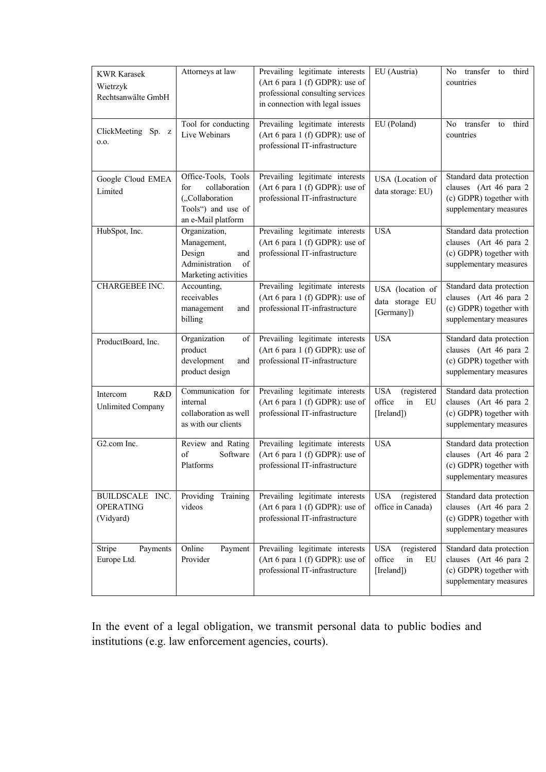| <b>KWR Karasek</b><br>Wietrzyk<br>Rechtsanwälte GmbH | Attorneys at law                                                                                           | Prevailing legitimate interests<br>(Art 6 para 1 (f) GDPR): use of<br>professional consulting services<br>in connection with legal issues | EU (Austria)                                                                   | No transfer to<br>third<br>countries                                                                    |
|------------------------------------------------------|------------------------------------------------------------------------------------------------------------|-------------------------------------------------------------------------------------------------------------------------------------------|--------------------------------------------------------------------------------|---------------------------------------------------------------------------------------------------------|
| ClickMeeting Sp. z<br>0.0.                           | Tool for conducting<br>Live Webinars                                                                       | Prevailing legitimate interests<br>(Art 6 para 1 (f) GDPR): use of<br>professional IT-infrastructure                                      | EU (Poland)                                                                    | No transfer<br>third<br>to<br>countries                                                                 |
| Google Cloud EMEA<br>Limited                         | Office-Tools, Tools<br>collaboration<br>for<br>("Collaboration<br>Tools") and use of<br>an e-Mail platform | Prevailing legitimate interests<br>(Art 6 para 1 (f) GDPR): use of<br>professional IT-infrastructure                                      | USA (Location of<br>data storage: EU)                                          | Standard data protection<br>clauses (Art 46 para 2<br>(c) GDPR) together with<br>supplementary measures |
| HubSpot, Inc.                                        | Organization,<br>Management,<br>Design<br>and<br>Administration<br>of<br>Marketing activities              | Prevailing legitimate interests<br>(Art 6 para 1 (f) GDPR): use of<br>professional IT-infrastructure                                      | <b>USA</b>                                                                     | Standard data protection<br>clauses (Art 46 para 2<br>(c) GDPR) together with<br>supplementary measures |
| CHARGEBEE INC.                                       | Accounting,<br>receivables<br>management<br>and<br>billing                                                 | Prevailing legitimate interests<br>(Art 6 para 1 (f) GDPR): use of<br>professional IT-infrastructure                                      | USA (location of<br>data storage EU<br>[Germany])                              | Standard data protection<br>clauses (Art 46 para 2<br>(c) GDPR) together with<br>supplementary measures |
| ProductBoard, Inc.                                   | Organization<br>of<br>product<br>development<br>and<br>product design                                      | Prevailing legitimate interests<br>(Art 6 para 1 (f) GDPR): use of<br>professional IT-infrastructure                                      | <b>USA</b>                                                                     | Standard data protection<br>clauses (Art 46 para 2<br>(c) GDPR) together with<br>supplementary measures |
| R&D<br>Intercom<br>Unlimited Company                 | Communication for<br>internal<br>collaboration as well<br>as with our clients                              | Prevailing legitimate interests<br>(Art 6 para 1 (f) GDPR): use of<br>professional IT-infrastructure                                      | <b>USA</b><br>(registered<br>office<br>$\operatorname{in}$<br>EU<br>[Ireland]) | Standard data protection<br>clauses (Art 46 para 2<br>(c) GDPR) together with<br>supplementary measures |
| G2.com Inc.                                          | Review and Rating<br>of<br>Software<br>Platforms                                                           | Prevailing legitimate interests<br>(Art 6 para 1 (f) GDPR): use of<br>professional IT-infrastructure                                      | <b>USA</b>                                                                     | Standard data protection<br>clauses (Art 46 para 2<br>(c) GDPR) together with<br>supplementary measures |
| BUILDSCALE INC.<br><b>OPERATING</b><br>(Vidyard)     | Providing Training<br>videos                                                                               | Prevailing legitimate interests<br>(Art 6 para 1 (f) GDPR): use of<br>professional IT-infrastructure                                      | <b>USA</b><br>(registered<br>office in Canada)                                 | Standard data protection<br>clauses (Art 46 para 2<br>(c) GDPR) together with<br>supplementary measures |
| Stripe<br>Payments<br>Europe Ltd.                    | Online<br>Payment<br>Provider                                                                              | Prevailing legitimate interests<br>(Art 6 para 1 (f) GDPR): use of<br>professional IT-infrastructure                                      | <b>USA</b><br>(registered<br>office<br>in<br>EU<br>[Ireland])                  | Standard data protection<br>clauses (Art 46 para 2<br>(c) GDPR) together with<br>supplementary measures |

In the event of a legal obligation, we transmit personal data to public bodies and institutions (e.g. law enforcement agencies, courts).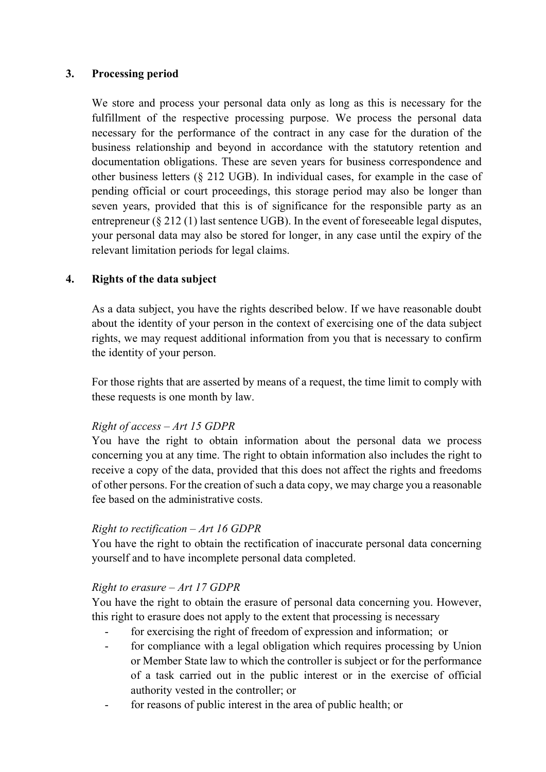### **3. Processing period**

We store and process your personal data only as long as this is necessary for the fulfillment of the respective processing purpose. We process the personal data necessary for the performance of the contract in any case for the duration of the business relationship and beyond in accordance with the statutory retention and documentation obligations. These are seven years for business correspondence and other business letters (§ 212 UGB). In individual cases, for example in the case of pending official or court proceedings, this storage period may also be longer than seven years, provided that this is of significance for the responsible party as an entrepreneur (§ 212 (1) last sentence UGB). In the event of foreseeable legal disputes, your personal data may also be stored for longer, in any case until the expiry of the relevant limitation periods for legal claims.

## **4. Rights of the data subject**

As a data subject, you have the rights described below. If we have reasonable doubt about the identity of your person in the context of exercising one of the data subject rights, we may request additional information from you that is necessary to confirm the identity of your person.

For those rights that are asserted by means of a request, the time limit to comply with these requests is one month by law.

#### *Right of access – Art 15 GDPR*

You have the right to obtain information about the personal data we process concerning you at any time. The right to obtain information also includes the right to receive a copy of the data, provided that this does not affect the rights and freedoms of other persons. For the creation of such a data copy, we may charge you a reasonable fee based on the administrative costs.

#### *Right to rectification – Art 16 GDPR*

You have the right to obtain the rectification of inaccurate personal data concerning yourself and to have incomplete personal data completed.

#### *Right to erasure – Art 17 GDPR*

You have the right to obtain the erasure of personal data concerning you. However, this right to erasure does not apply to the extent that processing is necessary

- for exercising the right of freedom of expression and information; or
- for compliance with a legal obligation which requires processing by Union or Member State law to which the controller is subject or for the performance of a task carried out in the public interest or in the exercise of official authority vested in the controller; or
- for reasons of public interest in the area of public health; or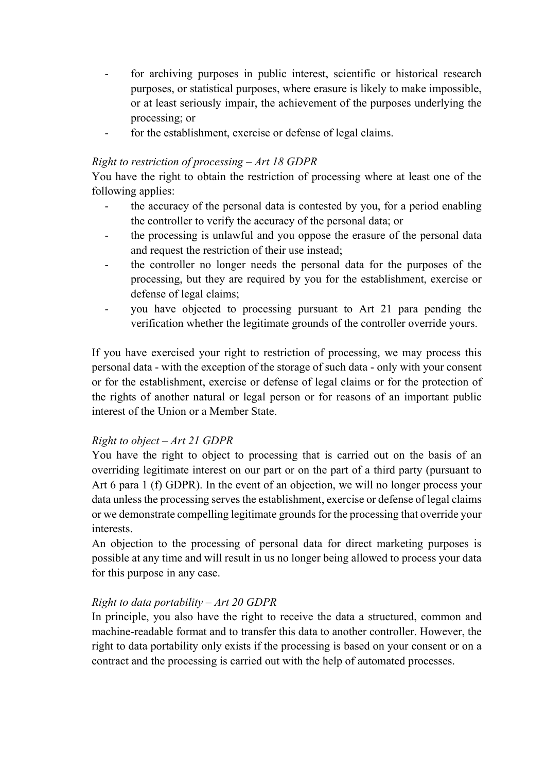- for archiving purposes in public interest, scientific or historical research purposes, or statistical purposes, where erasure is likely to make impossible, or at least seriously impair, the achievement of the purposes underlying the processing; or
- for the establishment, exercise or defense of legal claims.

## *Right to restriction of processing – Art 18 GDPR*

You have the right to obtain the restriction of processing where at least one of the following applies:

- the accuracy of the personal data is contested by you, for a period enabling the controller to verify the accuracy of the personal data; or
- the processing is unlawful and you oppose the erasure of the personal data and request the restriction of their use instead;
- the controller no longer needs the personal data for the purposes of the processing, but they are required by you for the establishment, exercise or defense of legal claims;
- you have objected to processing pursuant to Art 21 para pending the verification whether the legitimate grounds of the controller override yours.

If you have exercised your right to restriction of processing, we may process this personal data - with the exception of the storage of such data - only with your consent or for the establishment, exercise or defense of legal claims or for the protection of the rights of another natural or legal person or for reasons of an important public interest of the Union or a Member State.

## *Right to object – Art 21 GDPR*

You have the right to object to processing that is carried out on the basis of an overriding legitimate interest on our part or on the part of a third party (pursuant to Art 6 para 1 (f) GDPR). In the event of an objection, we will no longer process your data unless the processing serves the establishment, exercise or defense of legal claims or we demonstrate compelling legitimate grounds for the processing that override your interests.

An objection to the processing of personal data for direct marketing purposes is possible at any time and will result in us no longer being allowed to process your data for this purpose in any case.

## *Right to data portability – Art 20 GDPR*

In principle, you also have the right to receive the data a structured, common and machine-readable format and to transfer this data to another controller. However, the right to data portability only exists if the processing is based on your consent or on a contract and the processing is carried out with the help of automated processes.